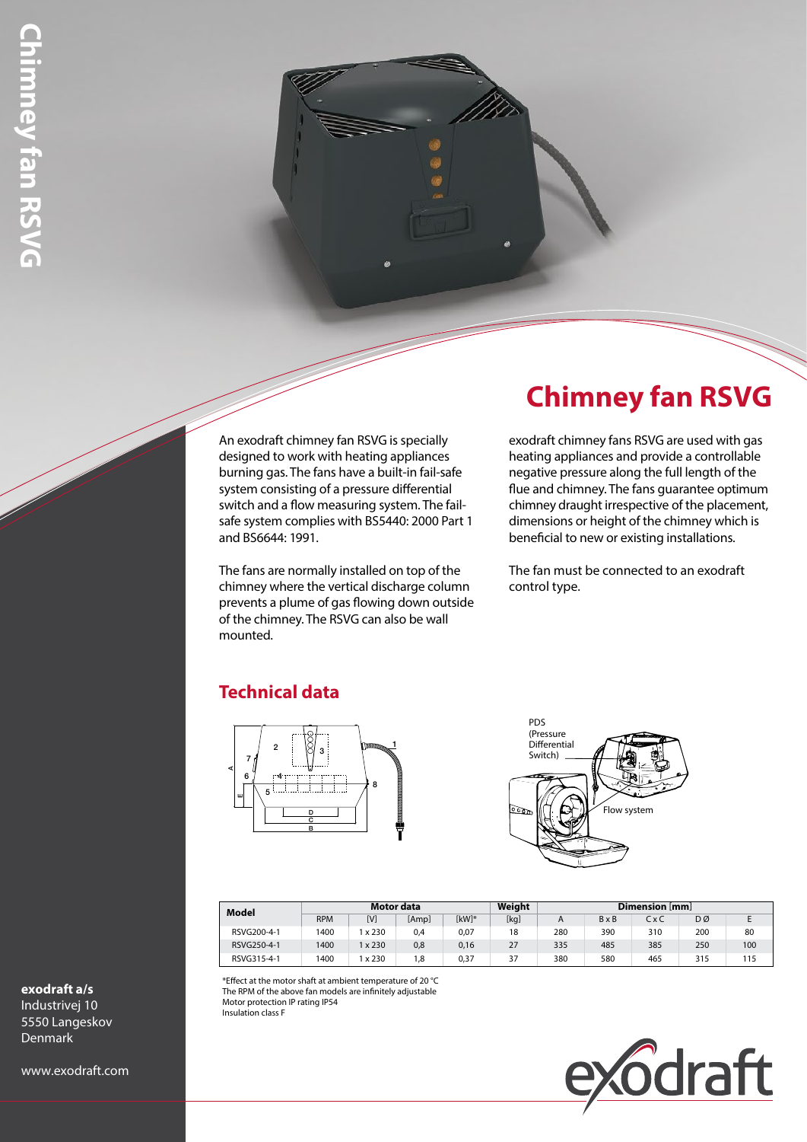An exodraft chimney fan RSVG is specially designed to work with heating appliances burning gas. The fans have a built-in fail-safe system consisting of a pressure differential switch and a flow measuring system. The failsafe system complies with BS5440: 2000 Part 1 and BS6644: 1991.

The fans are normally installed on top of the chimney where the vertical discharge column prevents a plume of gas flowing down outside of the chimney. The RSVG can also be wall mounted.

# **Chimney fan RSVG**

exodraft chimney fans RSVG are used with gas heating appliances and provide a controllable negative pressure along the full length of the flue and chimney. The fans guarantee optimum chimney draught irrespective of the placement, dimensions or height of the chimney which is beneficial to new or existing installations.

The fan must be connected to an exodraft control type.

## **Technical data**





| Model       | Motor data |       |       |         | Weight | Dimension [mm] |              |       |     |     |
|-------------|------------|-------|-------|---------|--------|----------------|--------------|-------|-----|-----|
|             | <b>RPM</b> | [V]   | [Amp] | $[kW]*$ | [kg]   | Α              | $B \times B$ | C x C | DØ  |     |
| RSVG200-4-1 | 1400       | x 230 | 0,4   | 0,07    | 18     | 280            | 390          | 310   | 200 | 80  |
| RSVG250-4-1 | 1400       | x 230 | 0,8   | 0,16    | 27     | 335            | 485          | 385   | 250 | 100 |
| RSVG315-4-1 | 1400       | x 230 | 1,8   | 0,37    | 37     | 380            | 580          | 465   | 315 | 115 |

\*Effect at the motor shaft at ambient temperature of 20 °C The RPM of the above fan models are infinitely adjustable Motor protection IP rating IP54 Insulation class F



#### **exodraft a/s**

Industrivej 10 5550 Langeskov Denmark

www.exodraft.com